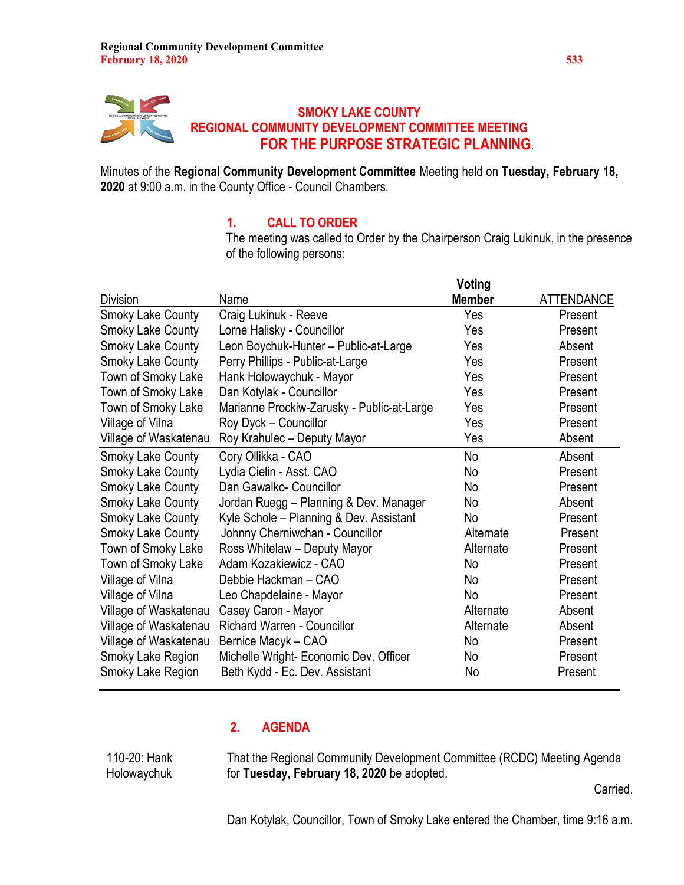

Minutes of the Regional Community Development Committee Meeting held on Tuesday, February 18, 2020 at 9:00 a.m. in the County Office - Council Chambers.

## 1. CALL TO ORDER

The meeting was called to Order by the Chairperson Craig Lukinuk, in the presence of the following persons:

|                          |                                            | Voting        |                   |
|--------------------------|--------------------------------------------|---------------|-------------------|
| Division                 | Name                                       | <b>Member</b> | <b>ATTENDANCE</b> |
| <b>Smoky Lake County</b> | Craig Lukinuk - Reeve                      | Yes           | Present           |
| <b>Smoky Lake County</b> | Lorne Halisky - Councillor                 | Yes           | Present           |
| <b>Smoky Lake County</b> | Leon Boychuk-Hunter - Public-at-Large      | Yes           | Absent            |
| <b>Smoky Lake County</b> | Perry Phillips - Public-at-Large           | Yes           | Present           |
| Town of Smoky Lake       | Hank Holowaychuk - Mayor                   | Yes           | Present           |
| Town of Smoky Lake       | Dan Kotylak - Councillor                   | Yes           | Present           |
| Town of Smoky Lake       | Marianne Prockiw-Zarusky - Public-at-Large | Yes           | Present           |
| Village of Vilna         | Roy Dyck - Councillor                      | Yes           | Present           |
| Village of Waskatenau    | Roy Krahulec - Deputy Mayor                | Yes           | Absent            |
| Smoky Lake County        | Cory Ollikka - CAO                         | No            | Absent            |
| <b>Smoky Lake County</b> | Lydia Cielin - Asst. CAO                   | No            | Present           |
| <b>Smoky Lake County</b> | Dan Gawalko- Councillor                    | No            | Present           |
| Smoky Lake County        | Jordan Ruegg - Planning & Dev. Manager     | No            | Absent            |
| <b>Smoky Lake County</b> | Kyle Schole – Planning & Dev. Assistant    | No            | Present           |
| <b>Smoky Lake County</b> | Johnny Cherniwchan - Councillor            | Alternate     | Present           |
| Town of Smoky Lake       | Ross Whitelaw - Deputy Mayor               | Alternate     | Present           |
| Town of Smoky Lake       | Adam Kozakiewicz - CAO                     | No            | Present           |
| Village of Vilna         | Debbie Hackman - CAO                       | No            | Present           |
| Village of Vilna         | Leo Chapdelaine - Mayor                    | No            | Present           |
| Village of Waskatenau    | Casey Caron - Mayor                        | Alternate     | Absent            |
| Village of Waskatenau    | <b>Richard Warren - Councillor</b>         | Alternate     | Absent            |
| Village of Waskatenau    | Bernice Macyk - CAO                        | No            | Present           |
| Smoky Lake Region        | Michelle Wright- Economic Dev. Officer     | No            | Present           |
| Smoky Lake Region        | Beth Kydd - Ec. Dev. Assistant             | No            | Present           |

## 2. AGENDA

110-20: Hank Holowaychuk That the Regional Community Development Committee (RCDC) Meeting Agenda for Tuesday, February 18, 2020 be adopted.

Carried.

Dan Kotylak, Councillor, Town of Smoky Lake entered the Chamber, time 9:16 a.m.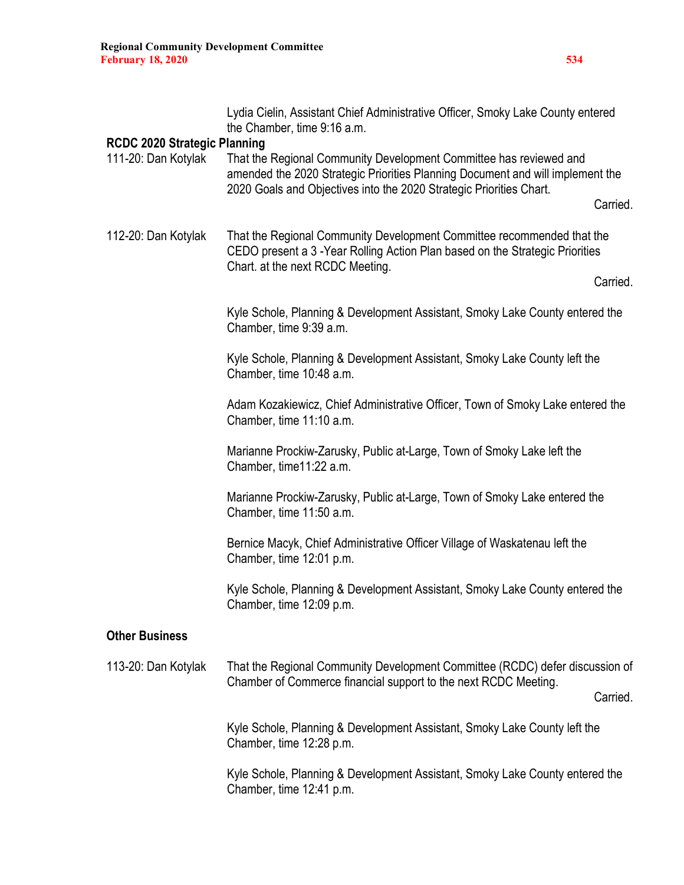|                                                            | Lydia Cielin, Assistant Chief Administrative Officer, Smoky Lake County entered<br>the Chamber, time 9:16 a.m.                                                                                                                          |  |
|------------------------------------------------------------|-----------------------------------------------------------------------------------------------------------------------------------------------------------------------------------------------------------------------------------------|--|
| <b>RCDC 2020 Strategic Planning</b><br>111-20: Dan Kotylak | That the Regional Community Development Committee has reviewed and<br>amended the 2020 Strategic Priorities Planning Document and will implement the<br>2020 Goals and Objectives into the 2020 Strategic Priorities Chart.<br>Carried. |  |
| 112-20: Dan Kotylak                                        | That the Regional Community Development Committee recommended that the<br>CEDO present a 3 - Year Rolling Action Plan based on the Strategic Priorities<br>Chart. at the next RCDC Meeting.<br>Carried.                                 |  |
|                                                            | Kyle Schole, Planning & Development Assistant, Smoky Lake County entered the<br>Chamber, time 9:39 a.m.                                                                                                                                 |  |
|                                                            | Kyle Schole, Planning & Development Assistant, Smoky Lake County left the<br>Chamber, time 10:48 a.m.                                                                                                                                   |  |
|                                                            | Adam Kozakiewicz, Chief Administrative Officer, Town of Smoky Lake entered the<br>Chamber, time 11:10 a.m.                                                                                                                              |  |
|                                                            | Marianne Prockiw-Zarusky, Public at-Large, Town of Smoky Lake left the<br>Chamber, time11:22 a.m.                                                                                                                                       |  |
|                                                            | Marianne Prockiw-Zarusky, Public at-Large, Town of Smoky Lake entered the<br>Chamber, time 11:50 a.m.                                                                                                                                   |  |
|                                                            | Bernice Macyk, Chief Administrative Officer Village of Waskatenau left the<br>Chamber, time 12:01 p.m.                                                                                                                                  |  |
|                                                            | Kyle Schole, Planning & Development Assistant, Smoky Lake County entered the<br>Chamber, time 12:09 p.m.                                                                                                                                |  |
| <b>Other Business</b>                                      |                                                                                                                                                                                                                                         |  |
| 113-20: Dan Kotylak                                        | That the Regional Community Development Committee (RCDC) defer discussion of<br>Chamber of Commerce financial support to the next RCDC Meeting.<br>Carried.                                                                             |  |
|                                                            | Kyle Schole, Planning & Development Assistant, Smoky Lake County left the<br>Chamber, time 12:28 p.m.                                                                                                                                   |  |
|                                                            | Kyle Schole, Planning & Development Assistant, Smoky Lake County entered the<br>Chamber, time 12:41 p.m.                                                                                                                                |  |